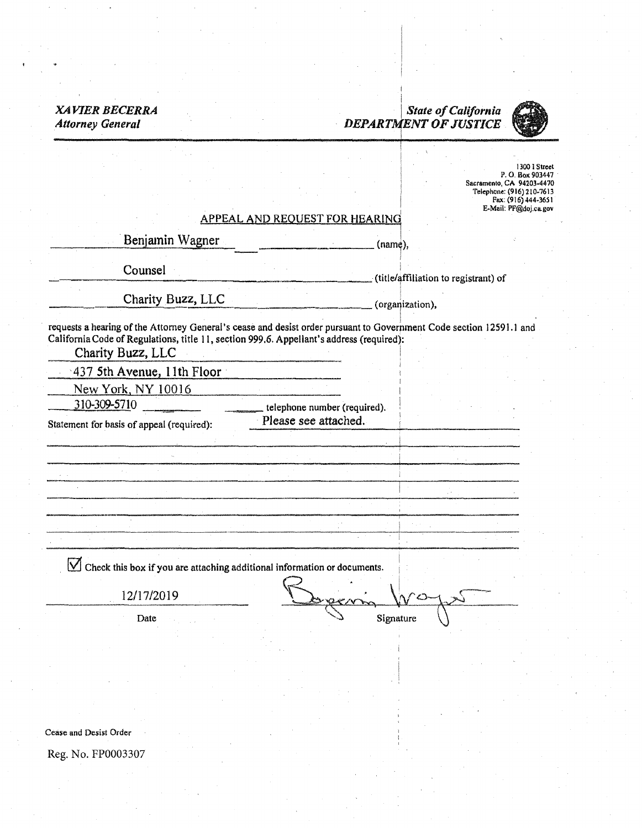#### i *XAVIER BECERRA* State of California *State of California State Attorney General* **DEPARTMENT OF JUSTICE** I

I



1300 l Street P. 0. Box 903447 Sacramento, CA 94203-4470 Telephone: (916) 210-7613 Fax: (916) 444-365 I E-Mail: PF@doj.cagov

# APPEAL AND REQUEST FOR HEARIN9

Benjamin Wagner. (name), (name),

Counsel title/af (title/affiliation to registrant) of

Charity Buzz, LLC (organization),

I

I I

requests a hearing of the Attorney General's cease and deslst order pursuant to Government Code section 12591.J and California Code of Regulations, title 11, section 999.6. Appellant's address (required):

Charity Buzz, LLC I

·437 5th Avenue, 11th Floor

New York, NY 10016

Statement for basis of appeal (required):

 $310-309-5710$  telephone number (required).<br>ent for has sof anneal (required). Please see attached.

 $\boxed{\bigvee}$  Check this box if you are attaching additional information or documents.

• I 12/17/2019 Depeni Ways Date Signature

Cease and Desist Order

Reg. No. FP0003307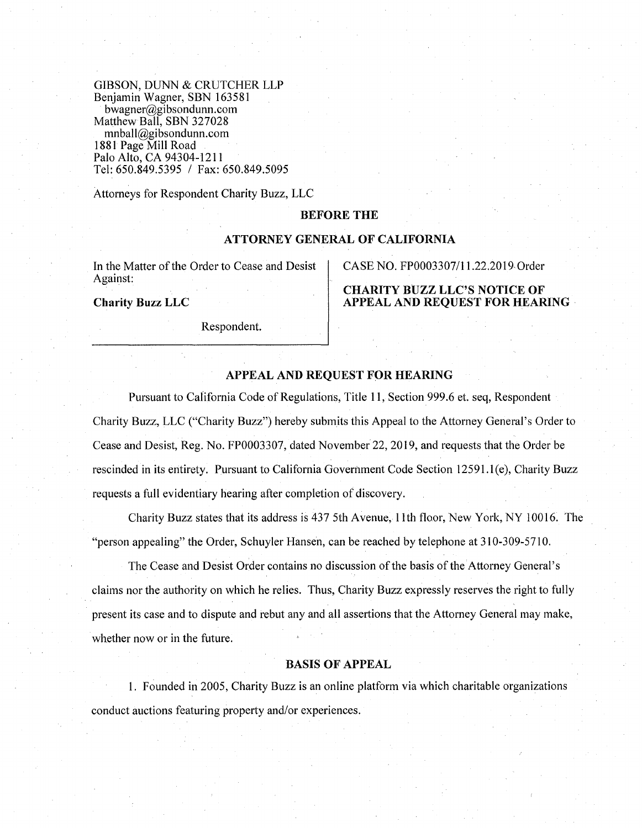GIBSON, DUNN & CRUTCHER LLP Benjamin Wagner, SBN 163581 bwagner@gibsondunn.com Matthew Ball, SBN 327028 mnball@gibsondunn.com 1881 Page Mill Road Palo Alto, CA 94304-1211 Tel: 650.849.5395 / Fax: 650.849.5095

Attorneys for Respondent Charity Buzz, LLC

## **BEFORE THE**

#### **ATTORNEY GENERAL OF CALIFORNIA**

In the Matter of the Order to Cease and Desist Against:

**Charity Buzz LLC** 

Respondent.

CASE NO. FP0003307/11.22.2019- Order

**CHARITY BUZZ LLC'S NOTICE OF APPEAL AND REQUEST FOR HEARING** 

# **APPEAL AND REQUEST FOR HEARING**

Pursuant to California Code of Regulations, Title **11,** Section 999 .6 et. seq, Respondent Charity Buzz, LLC ("Charity Buzz") hereby submits this Appeal to the Attorney General's Order to Cease and Desist, Reg. No. FP0003307, dated November 22, 2019, and requests that the Order be rescinded in its entirety. Pursuant to California Government Code Section 12591.l(e), Charity Buzz requests a full evidentiary hearing after completion of discovery.

Charity Buzz states that its address is 437 5th Avenue, 11th floor, New York, NY 10016. The "person appealing" the Order, Schuyler Hansen, can be reached by telephone at 310-309-5710.

The Cease and Desist Order contains no discussion of the basis of the Attorney General's claims nor the authority on which he relies. Thus, Charity Buzz expressly reserves the right to fully present its case and to dispute and rebut any and all assertions that the Attorney General may make, whether now or in the future.

# **BASIS OF APPEAL**

1. Founded in 2005, Charity Buzz is an online platform via which charitable organizations conduct auctions featuring property and/or experiences.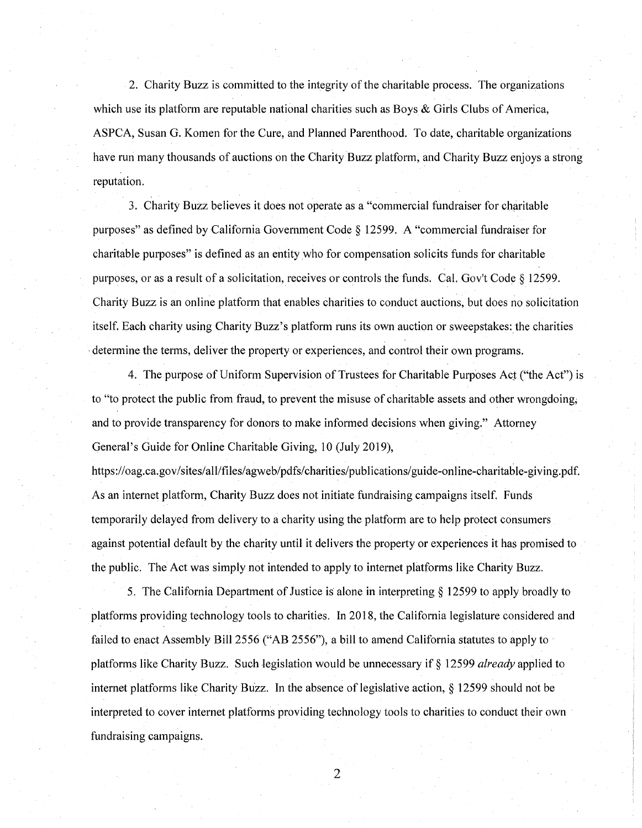2. Charity Buzz is committed to the integrity of the charitable process. The organizations which use its platform are reputable national charities such as Boys  $\&$  Girls Clubs of America, ASPCA, Susan G. Komen for the Cure, and Planned Parenthood. To date, charitable organizations have run many thousands of auctions on the Charity Buzz platform, and Charity Buzz enjoys a strong reputation.

3. Charity Buzz believes it does not operate as a "commercial fundraiser for charitable purposes" as defined by California Government Code§ 12599. A "commercial fundraiser for charitable purposes" is defined as an entity who for compensation solicits funds for charitable purposes, or as a result of a solicitation, receives or controls the funds. Cal. Gov't Code§ 12599. Charity Buzz is an online platform that enables charities to conduct auctions, but does no solicitation itself. Each charity using Charity Buzz's platform runs its own auction or sweepstakes: the charities , determine the terms, deliver the property or experiences, and control their own programs.

4. The purpose of Uniform Supervision of Trustees for Charitable Purposes Act ("the Act") is to "to protect the public from fraud, to prevent the misuse of charitable assets and other wrongdoing; and to provide transparency for donors to make informed decisions when giving." Attorney General's Guide for Online Charitable Giving, 10 (July 2019),

https://oag.ca.gov/sites/all/files/agweb/pdfs/charities/publications/guide-online-charitable-giving.pdf. As an internet platform, Charity Buzz does not initiate fundraising campaigns itself. Funds temporarily delayed from delivery to a charity using the platform are to help protect consumers against potential default by the charity until it delivers the property or experiences it has promised to the public. The Act was simply not intended to apply to internet platforms like Charity Buzz.

5. The California Department of Justice is alone in interpreting§ 12599 to apply broadly to platforms providing technology tools to charities. In 2018, the California legislature considered and failed to enact Assembly Bill 2556 ("AB 2556"), a bill to amend California statutes to apply to platforms like Charity Buzz. Such legislation would be unnecessary if§ 12599 *already* applied to internet platforms like Charity Buzz. In the absence of legislative action, § 12599 should not be interpreted to cover internet platforms providing technology tools to charities to conduct their own fundraising campaigns.

2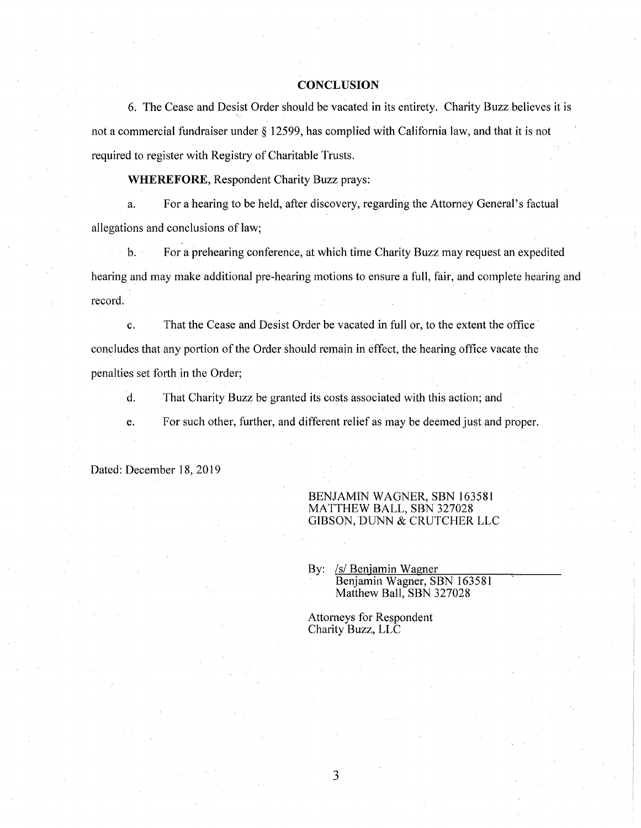#### **CONCLUSION**

6. The Cease and Desist Order should be vacated in its entirety. Charity Buzz believes it is not a commercial fundraiser under§ 12599, has complied with California law, and that it is not required to register with Registry of Charitable Trusts.

**WHEREFORE,** Respondent Charity Buzz prays:

a. For a hearing to be held, after discovery, regarding the Attorney General's factual allegations and conclusions of law;

b. For a prehearing conference, at which time Charity Buzz may request an expedited hearing and may make additional pre-hearing motions to ensure a full, fair, and complete hearing and record.

c. That the Cease and Desist Order be vacated in full or, to the extent the office concludes that any portion of the Order should remain in effect, the hearing office vacate the penalties set forth in the Order;

d. That Charity Buzz be granted its costs associated with this action; and

e. For such other, further, and different relief as may be deemed just and proper.

Dated: December 18, 2019

### BENJAMIN WAGNER, SBN 163581 MATTHEW BALL, SBN 327028 GIBSON, DUNN & CRUTCHER LLC

By: /s/ Benjamin Wagner Benjamin Wagner, SBN 163581 Matthew Ball, SBN 327028

Attorneys for Respondent Charity Buzz, LLC

3